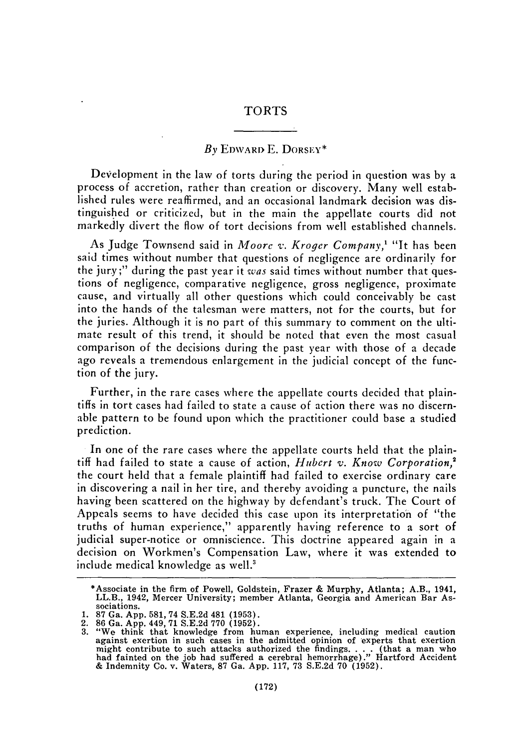## TORTS

## **By EDWARD E. DORSEY\***

Development in the law of torts during the period in question was by a process of accretion, rather than creation or discovery. Many well established rules were reaffirmed, and an occasional landmark decision was distinguished or criticized, but in the main the appellate courts did not markedly divert the flow of tort decisions from well established channels.

As Judge Townsend said in *Moore v. Kroger Conpany,1* "It has been said times without number that questions of negligence are ordinarily for the jury;" during the past year it *was* said times without number that questions of negligence, comparative negligence, gross negligence, proximate cause, and virtually all other questions which could conceivably be cast into the hands of the talesman were matters, not for the courts, but for the juries. Although it is no part of this summary to comment on the ultimate result of this trend, it should be noted that even the most casual comparison of the decisions during the past year with those of a decade ago reveals a tremendous enlargement in the judicial concept of the function of the jury.

Further, in the rare cases where the appellate courts decided that plaintiffs in tort cases had failed to state a cause of action there was no discernable pattern to be found upon which the practitioner could base a studied prediction.

In one of the rare cases where the appellate courts held that the plaintiff had failed to state a cause of action, *Hubert v. Know Corporation,'* the court held that a female plaintiff had failed to exercise ordinary care in discovering a nail in her tire, and thereby avoiding a puncture, the nails having been scattered on the highway by defendant's truck. The Court of Appeals seems to have decided this case upon its interpretation of "the truths of human experience," apparently having reference to a sort of judicial super-notice or omniscience. This doctrine appeared again in a decision on Workmen's Compensation Law, where it was extended to include medical knowledge as well.<sup>3</sup>

<sup>\*</sup>Associate in the firm of Powell, Goldstein, Frazer & Murphy, Atlanta; A.B., 1941, LL.B., 1942, Mercer University; member Atlanta, Georgia and American Bar Associations.

<sup>1. 87</sup> Ga. App. 581, 74 S.E.2d 481 (1953).

<sup>2.</sup> **86** Ga. App. 449, 71 S.E.2d **770** (1952). 3. "We think that knowledge from human experience, including medical caution against exertion in such cases in the admitted opinion of experts that exertion might contribute to such attacks authorized the findings.... (that a man who<br>had fainted on the job had suffered a cerebral hemorrhage)." Hartford Accident<br>& Indemnity Co. v. Waters. 87 Ga. App. 117, 73 S.E.2d 70 (1952).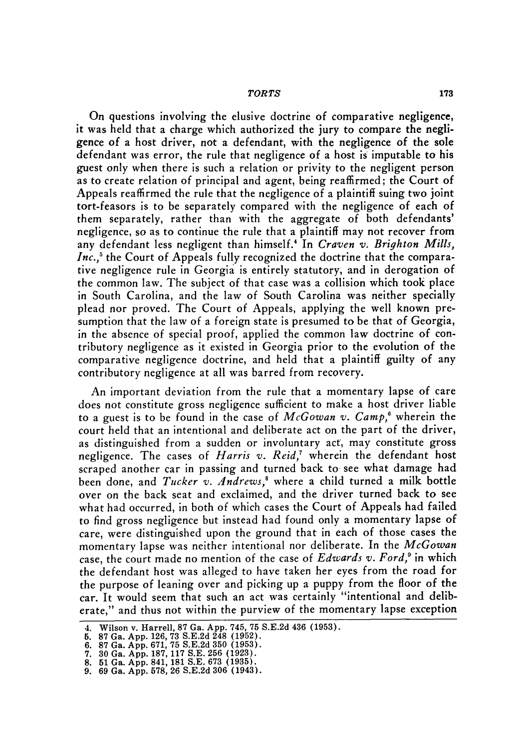## *TORTS*

On questions involving the elusive doctrine of comparative negligence, it was held that a charge which authorized the jury to compare the negligence of a host driver, not a defendant, with the negligence of the sole defendant was error, the rule that negligence of a host is imputable to his guest only when there is such a relation or privity to the negligent person as to create relation of principal and agent, being reaffirmed; the Court of Appeals reaffirmed the rule that the negligence of a plaintiff suing two joint tort-feasors is to be separately compared with the negligence of each of them separately, rather than with the aggregate of both defendants' negligence, so as to continue the rule that a plaintiff may not recover from any defendant less negligent than himself.' In *Craven v. Brighton Mills, Inc.,'* the Court of Appeals fully recognized the doctrine that the comparative negligence rule in Georgia is entirely statutory, and in derogation of the common law. The subject of that case was a collision which took place in South Carolina, and the law of South Carolina was neither specially plead nor proved. The Court of Appeals, applying the well known presumption that the law of a foreign state is presumed to be that of Georgia, in the absence of special proof, applied the common law doctrine of contributory negligence as it existed in Georgia prior to the evolution of the comparative negligence doctrine, and held that a plaintiff guilty of any contributory negligence at all was barred from recovery.

An important deviation from the rule that a momentary lapse of care does not constitute gross negligence sufficient to make a host driver liable to a guest is to be found in the case of *McGowan v. Camp,6* wherein the court held that an intentional and deliberate act on the part of the driver, as distinguished from a sudden or involuntary act, may constitute gross negligence. The cases of *Harris v. Reid,'* wherein the defendant host scraped another car in passing and turned back to see what damage had been done, and *Tucker v. Andrews*,<sup>8</sup> where a child turned a milk bottle over on the back seat and exclaimed, and the driver turned back to see what had occurred, in both of which cases the Court of Appeals had failed to find gross negligence but instead had found only a momentary lapse of care, were distinguished upon the ground that in each of those cases the momentary lapse was neither intentional nor deliberate. In the *McGowan* case, the court made no mention of the case of *Edwards v. Ford,9* in which the defendant host was alleged to have taken her eyes from the road for the purpose of leaning over and picking up a puppy from the floor of the car. It would seem that such an act was certainly "intentional and deliberate," and thus not within the purview of the momentary lapse exception

<sup>4.</sup> Wilson v. Harrell, 87 Ga. App. 745, 75 S.E.2d 436 (1953).

**<sup>5. 87</sup>** Ga. App. 126, 73 S.E.2d 248 **(1952).**

<sup>6. 87</sup> Ga. App. 671, 75 S.E.2d 350 (1953).

**<sup>7.</sup>** 30 Ga. App. 187, **117** S.E. 256 (1923). 8. 51 Ga. App. 841, 181 S.E. 673 **(1935).**

<sup>9. 69</sup> Ga. App. 578, 26 S.E.2d 306 (1943).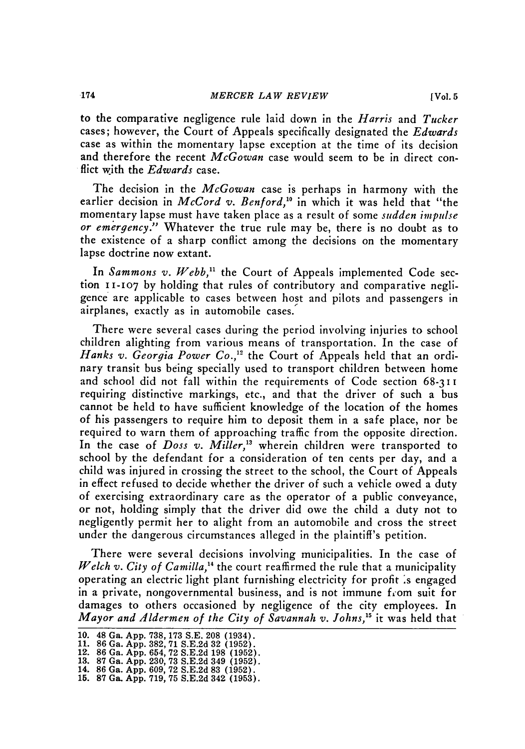to the comparative negligence rule laid down in the *Harris* and *Tucker* cases; however, the Court of Appeals specifically designated the *Edwards* case as within the momentary lapse exception at the time of its decision and therefore the recent *McGowan* case would seem to be in direct conflict with the *Edwards* case.

The decision in the *McGowan* case is perhaps in harmony with the earlier decision in *McCord v. Benford*,<sup>10</sup> in which it was held that "the momentary lapse must have taken place as a result of some *sudden impulse or emergency."* Whatever the true rule may be, there is no doubt as to the existence of a sharp conflict among the decisions on the momentary lapse doctrine now extant.

In *Sammons v. Webb,"* the Court of Appeals implemented Code section 11-107 by holding that rules of contributory and comparative negligence are applicable to cases between host and pilots and passengers in airplanes, exactly as in automobile cases.'

There were several cases during the period involving injuries to school children alighting from various means of transportation. In the case of *Hanks v. Georgia Power Co.,1"* the Court of Appeals held that an ordinary transit bus being specially used to transport children between home and school did not fall within the requirements of Code section 68-3 **11** requiring distinctive markings, etc., and that the driver of such a bus cannot be held to have sufficient knowledge of the location of the homes of his passengers to require him to deposit them in a safe place, nor be required to warn them of approaching traffic from the opposite direction. In the case of *Doss v. Miller,"* wherein children were transported to school by the defendant for a consideration of ten cents per day, and a child was injured in crossing the street to the school, the Court of Appeals in effect refused to decide whether the driver of such a vehicle owed a duty of exercising extraordinary care as the operator of a public conveyance, or not, holding simply that the driver did owe the child a duty not to negligently permit her to alight from an automobile and cross the street under the dangerous circumstances alleged in the plaintiff's petition.

There were several decisions involving municipalities. In the case of *Welch v. City of Camilla*,<sup>14</sup> the court reaffirmed the rule that a municipality operating an electric light plant furnishing electricity for profit :s engaged in a private, nongovernmental business, and is not immune from suit for damages to others occasioned by negligence of the city employees. In *Mayor and Aldermen of the City of Savannah v. Johns*,<sup>15</sup> it was held that

<sup>10. 48</sup> Ga. App. 738, 173 S.E. 208 (1934). 11. **86** Ga. App. 382, **71** S.E.2d 32 (1952).

<sup>12.</sup> **86** Ga. App. 654, **72** S.E.2d 198 (1952). 13. 87 Ga. App. 230, 73 S.E.2d 349 (1952). 14. **86** Ga. App. 609, **72** S.E.2d 83 (1952). 15. **87** Ga. App. 719, 75 S.E.2d 342 (1953).